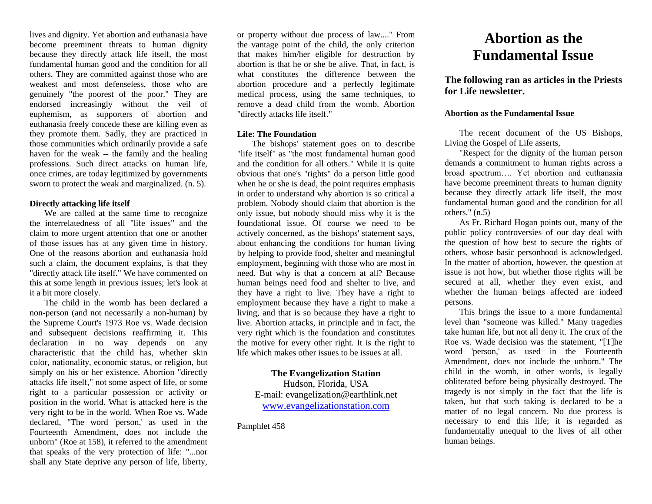lives and dignity. Yet abortion and euthanasia have become preeminent threats to human dignity because they directly attack life itself, the most fundamental human good and the condition for all others. They are committed against those who are weakest and most defenseless, those who are genuinely "the poorest of the poor." They are endorsed increasingly without the veil of euphemism, as supporters of abortion and euthanasia freely concede these are killing even as they promote them. Sadly, they are practiced in those communities which ordinarily provide a safe haven for the weak -- the family and the healing professions. Such direct attacks on human life, once crimes, are today legitimized by governments sworn to protect the weak and marginalized. (n. 5).

## **Directly attacking life itself**

We are called at the same time to recognize the interrelatedness of all "life issues" and the claim to more urgent attention that one or another of those issues has at any given time in history. One of the reasons abortion and euthanasia hold such a claim, the document explains, is that they "directly attack life itself." We have commented on this at some length in previous issues; let's look at it a bit more closely.

The child in the womb has been declared a non-person (and not necessarily a non-human) by the Supreme Court's 1973 Roe vs. Wade decision and subsequent decisions reaffirming it. This declaration in no way depends on any characteristic that the child has, whether skin color, nationality, economic status, or religion, but simply on his or her existence. Abortion "directly attacks life itself," not some aspect of life, or some right to a particular possession or activity or position in the world. What is attacked here is the very right to be in the world. When Roe vs. Wade declared, "The word 'person,' as used in the Fourteenth Amendment, does not include the unborn" (Roe at 158), it referred to the amendment that speaks of the very protection of life: "...nor shall any State deprive any person of life, liberty,

or property without due process of law...." From the vantage point of the child, the only criterion that makes him/her eligible for destruction by abortion is that he or she be alive. That, in fact, is what constitutes the difference between the abortion procedure and a perfectly legitimate medical process, using the same techniques, to remove a dead child from the womb. Abortion "directly attacks life itself."

## **Life: The Foundation**

The bishops' statement goes on to describe "life itself" as "the most fundamental human good and the condition for all others." While it is quite obvious that one's "rights" do a person little good when he or she is dead, the point requires emphasis in order to understand why abortion is so critical a problem. Nobody should claim that abortion is the only issue, but nobody should miss why it is the foundational issue. Of course we need to be actively concerned, as the bishops' statement says, about enhancing the conditions for human living by helping to provide food, shelter and meaningful employment, beginning with those who are most in need. But why is that a concern at all? Because human beings need food and shelter to live, and they have a right to live. They have a right to employment because they have a right to make a living, and that is so because they have a right to live. Abortion attacks, in principle and in fact, the very right which is the foundation and constitutes the motive for every other right. It is the right to life which makes other issues to be issues at all.

# **The Evangelization Station** Hudson, Florida, USA E-mail: evangelization@earthlink.net [www.evangelizationstation.com](http://www.pjpiisoe.org/)

Pamphlet 458

# **Abortion as the Fundamental Issue**

**The following ran as articles in the Priests for Life newsletter.** 

## **Abortion as the Fundamental Issue**

The recent document of the US Bishops, Living the Gospel of Life asserts,

"Respect for the dignity of the human person demands a commitment to human rights across a broad spectrum…. Yet abortion and euthanasia have become preeminent threats to human dignity because they directly attack life itself, the most fundamental human good and the condition for all others."  $(n.5)$ 

As Fr. Richard Hogan points out, many of the public policy controversies of our day deal with the question of how best to secure the rights of others, whose basic personhood is acknowledged. In the matter of abortion, however, the question at issue is not how, but whether those rights will be secured at all, whether they even exist, and whether the human beings affected are indeed persons.

This brings the issue to a more fundamental level than "someone was killed." Many tragedies take human life, but not all deny it. The crux of the Roe vs. Wade decision was the statement, "[T]he word 'person,' as used in the Fourteenth Amendment, does not include the unborn." The child in the womb, in other words, is legally obliterated before being physically destroyed. The tragedy is not simply in the fact that the life is taken, but that such taking is declared to be a matter of no legal concern. No due process is necessary to end this life; it is regarded as fundamentally unequal to the lives of all other human beings.